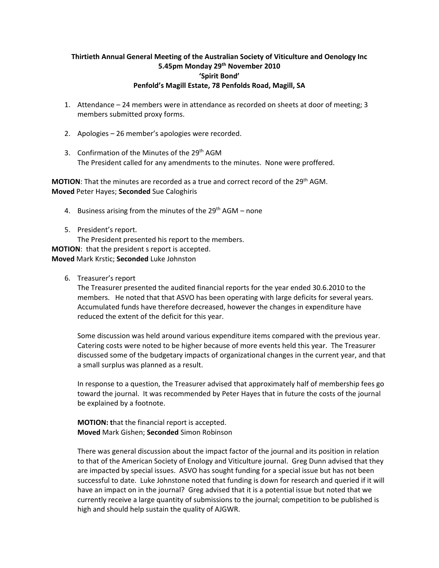## **Thirtieth Annual General Meeting of the Australian Society of Viticulture and Oenology Inc 5.45pm Monday 29th November 2010 'Spirit Bond' Penfold's Magill Estate, 78 Penfolds Road, Magill, SA**

- 1. Attendance 24 members were in attendance as recorded on sheets at door of meeting; 3 members submitted proxy forms.
- 2. Apologies 26 member's apologies were recorded.
- 3. Confirmation of the Minutes of the 29<sup>th</sup> AGM The President called for any amendments to the minutes. None were proffered.

**MOTION**: That the minutes are recorded as a true and correct record of the 29th AGM. **Moved** Peter Hayes; **Seconded** Sue Caloghiris

- 4. Business arising from the minutes of the  $29<sup>th</sup> AGM -$  none
- 5. President's report.

The President presented his report to the members. **MOTION**: that the president s report is accepted. **Moved** Mark Krstic; **Seconded** Luke Johnston

6. Treasurer's report

The Treasurer presented the audited financial reports for the year ended 30.6.2010 to the members. He noted that that ASVO has been operating with large deficits for several years. Accumulated funds have therefore decreased, however the changes in expenditure have reduced the extent of the deficit for this year.

Some discussion was held around various expenditure items compared with the previous year. Catering costs were noted to be higher because of more events held this year. The Treasurer discussed some of the budgetary impacts of organizational changes in the current year, and that a small surplus was planned as a result.

In response to a question, the Treasurer advised that approximately half of membership fees go toward the journal. It was recommended by Peter Hayes that in future the costs of the journal be explained by a footnote.

**MOTION: t**hat the financial report is accepted. **Moved** Mark Gishen; **Seconded** Simon Robinson

There was general discussion about the impact factor of the journal and its position in relation to that of the American Society of Enology and Viticulture journal. Greg Dunn advised that they are impacted by special issues. ASVO has sought funding for a special issue but has not been successful to date. Luke Johnstone noted that funding is down for research and queried if it will have an impact on in the journal? Greg advised that it is a potential issue but noted that we currently receive a large quantity of submissions to the journal; competition to be published is high and should help sustain the quality of AJGWR.